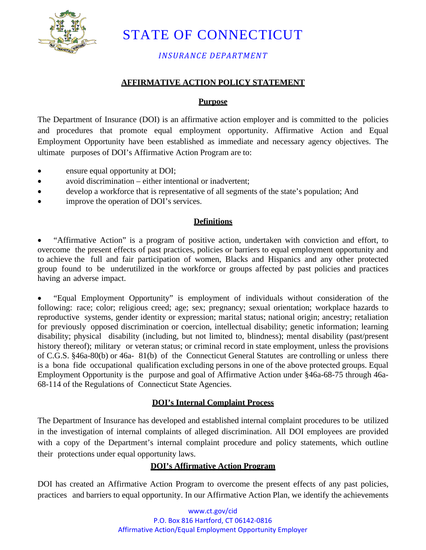

## STATE OF CONNECTICUT

*INSURANCE DEPARTMENT*

#### **AFFIRMATIVE ACTION POLICY STATEMENT**

#### **Purpose**

The Department of Insurance (DOI) is an affirmative action employer and is committed to the policies and procedures that promote equal employment opportunity. Affirmative Action and Equal Employment Opportunity have been established as immediate and necessary agency objectives. The ultimate purposes of DOI's Affirmative Action Program are to:

- ensure equal opportunity at DOI;
- avoid discrimination either intentional or inadvertent;
- develop a workforce that is representative of all segments of the state's population; And
- improve the operation of DOI's services.

### **Definitions**

• "Affirmative Action" is a program of positive action, undertaken with conviction and effort, to overcome the present effects of past practices, policies or barriers to equal employment opportunity and to achieve the full and fair participation of women, Blacks and Hispanics and any other protected group found to be underutilized in the workforce or groups affected by past policies and practices having an adverse impact.

• "Equal Employment Opportunity" is employment of individuals without consideration of the following: race; color; religious creed; age; sex; pregnancy; sexual orientation; workplace hazards to reproductive systems, gender identity or expression; marital status; national origin; ancestry; retaliation for previously opposed discrimination or coercion, intellectual disability; genetic information; learning disability; physical disability (including, but not limited to, blindness); mental disability (past/present history thereof); military or veteran status; or criminal record in state employment, unless the provisions of C.G.S. §46a-80(b) or 46a- 81(b) of the Connecticut General Statutes are controlling or unless there is a bona fide occupational qualification excluding persons in one of the above protected groups. Equal Employment Opportunity is the purpose and goal of Affirmative Action under §46a-68-75 through 46a-68-114 of the Regulations of Connecticut State Agencies.

#### **DOI's Internal Complaint Process**

The Department of Insurance has developed and established internal complaint procedures to be utilized in the investigation of internal complaints of alleged discrimination. All DOI employees are provided with a copy of the Department's internal complaint procedure and policy statements, which outline their protections under equal opportunity laws.

## **DOI's Affirmative Action Program**

DOI has created an Affirmative Action Program to overcome the present effects of any past policies, practices and barriers to equal opportunity. In our Affirmative Action Plan, we identify the achievements